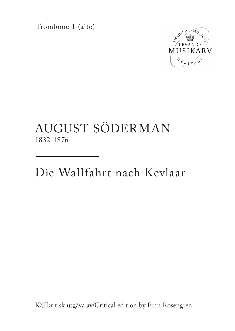Trombone 1 (alto)



## AUGUST SÖDERMAN 1832-1876

Die Wallfahrt nach Kevlaar

Källkritisk utgåva av/Critical edition by Finn Rosengren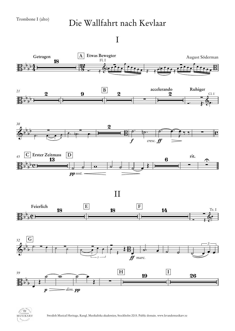## Die Wallfahrt nach Kevlaar

I